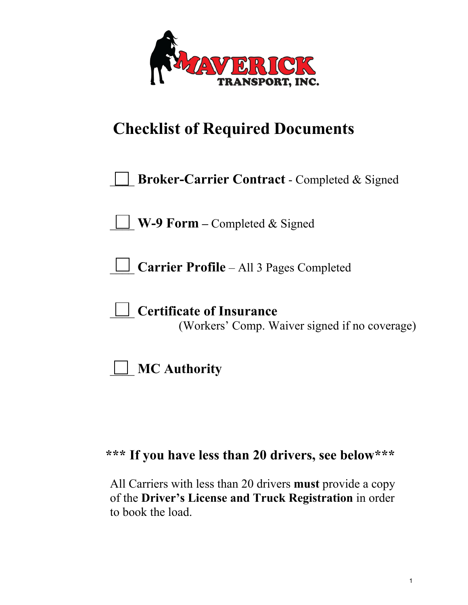

# **Checklist of Required Documents**

| <b>Broker-Carrier Contract</b> - Completed & Signed |  |
|-----------------------------------------------------|--|
|-----------------------------------------------------|--|

\_\_\_\_ **W-9 Form –** Completed & Signed

\_\_\_\_ **Carrier Profile** – All 3 Pages Completed

\_\_\_\_ **Certificate of Insurance**

(Workers' Comp. Waiver signed if no coverage)



# **\*\*\* If you have less than 20 drivers, see below\*\*\***

All Carriers with less than 20 drivers **must** provide a copy of the **Driver's License and Truck Registration** in order to book the load.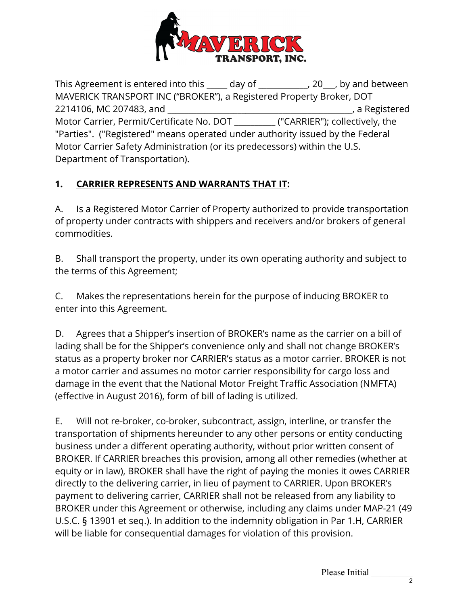

This Agreement is entered into this \_\_\_\_\_ day of \_\_\_\_\_\_\_\_\_\_\_\_, 20\_\_\_, by and between MAVERICK TRANSPORT INC ("BROKER"), a Registered Property Broker, DOT 2214106, MC 207483, and \_\_\_\_\_\_\_\_\_\_\_\_\_\_\_\_\_\_\_\_\_\_\_\_\_\_\_\_\_\_\_\_\_\_\_\_\_\_\_\_\_\_\_\_\_, a Registered Motor Carrier, Permit/Certificate No. DOT \_\_\_\_\_\_\_\_\_\_ ("CARRIER"); collectively, the "Parties". ("Registered" means operated under authority issued by the Federal Motor Carrier Safety Administration (or its predecessors) within the U.S. Department of Transportation).

## **1. CARRIER REPRESENTS AND WARRANTS THAT IT:**

A. Is a Registered Motor Carrier of Property authorized to provide transportation of property under contracts with shippers and receivers and/or brokers of general commodities.

B. Shall transport the property, under its own operating authority and subject to the terms of this Agreement;

C. Makes the representations herein for the purpose of inducing BROKER to enter into this Agreement.

D. Agrees that a Shipper's insertion of BROKER's name as the carrier on a bill of lading shall be for the Shipper's convenience only and shall not change BROKER's status as a property broker nor CARRIER's status as a motor carrier. BROKER is not a motor carrier and assumes no motor carrier responsibility for cargo loss and damage in the event that the National Motor Freight Traffic Association (NMFTA) (effective in August 2016), form of bill of lading is utilized.

E.Will not re-broker, co-broker, subcontract, assign, interline, or transfer the transportation of shipments hereunder to any other persons or entity conducting business under a different operating authority, without prior written consent of BROKER. If CARRIER breaches this provision, among all other remedies (whether at equity or in law), BROKER shall have the right of paying the monies it owes CARRIER directly to the delivering carrier, in lieu of payment to CARRIER. Upon BROKER's payment to delivering carrier, CARRIER shall not be released from any liability to BROKER under this Agreement or otherwise, including any claims under MAP-21 (49 U.S.C. § 13901 et seq.). In addition to the indemnity obligation in Par 1.H, CARRIER will be liable for consequential damages for violation of this provision.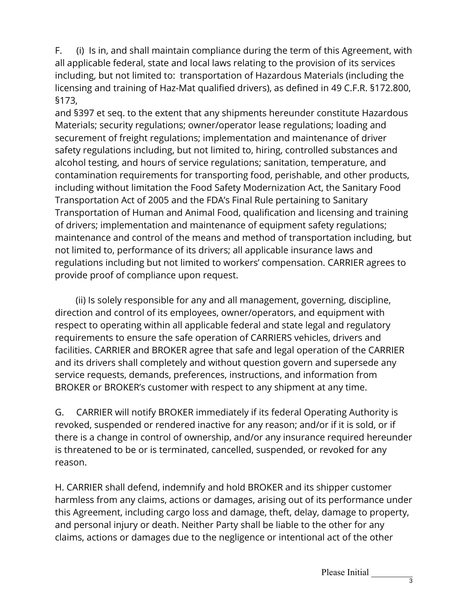F. (i) Is in, and shall maintain compliance during the term of this Agreement, with all applicable federal, state and local laws relating to the provision of its services including, but not limited to: transportation of Hazardous Materials (including the licensing and training of Haz-Mat qualified drivers), as defined in 49 C.F.R. §172.800, §173,

and §397 et seq. to the extent that any shipments hereunder constitute Hazardous Materials; security regulations; owner/operator lease regulations; loading and securement of freight regulations; implementation and maintenance of driver safety regulations including, but not limited to, hiring, controlled substances and alcohol testing, and hours of service regulations; sanitation, temperature, and contamination requirements for transporting food, perishable, and other products, including without limitation the Food Safety Modernization Act, the Sanitary Food Transportation Act of 2005 and the FDA's Final Rule pertaining to Sanitary Transportation of Human and Animal Food, qualification and licensing and training of drivers; implementation and maintenance of equipment safety regulations; maintenance and control of the means and method of transportation including, but not limited to, performance of its drivers; all applicable insurance laws and regulations including but not limited to workers' compensation. CARRIER agrees to provide proof of compliance upon request.

 (ii) Is solely responsible for any and all management, governing, discipline, direction and control of its employees, owner/operators, and equipment with respect to operating within all applicable federal and state legal and regulatory requirements to ensure the safe operation of CARRIERS vehicles, drivers and facilities. CARRIER and BROKER agree that safe and legal operation of the CARRIER and its drivers shall completely and without question govern and supersede any service requests, demands, preferences, instructions, and information from BROKER or BROKER's customer with respect to any shipment at any time.

G. CARRIER will notify BROKER immediately if its federal Operating Authority is revoked, suspended or rendered inactive for any reason; and/or if it is sold, or if there is a change in control of ownership, and/or any insurance required hereunder is threatened to be or is terminated, cancelled, suspended, or revoked for any reason.

H. CARRIER shall defend, indemnify and hold BROKER and its shipper customer harmless from any claims, actions or damages, arising out of its performance under this Agreement, including cargo loss and damage, theft, delay, damage to property, and personal injury or death. Neither Party shall be liable to the other for any claims, actions or damages due to the negligence or intentional act of the other

Please Initial \_\_\_\_\_\_\_\_\_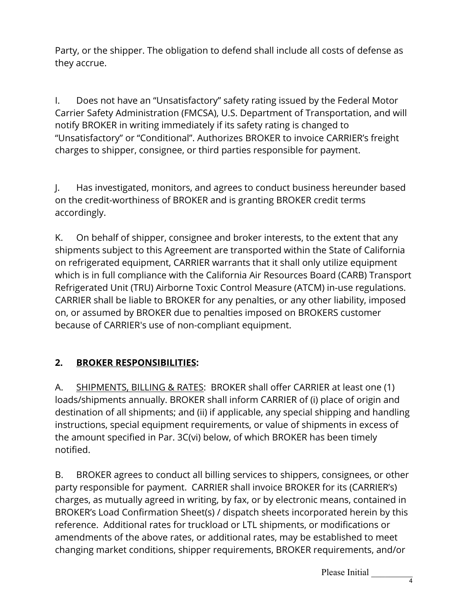Party, or the shipper. The obligation to defend shall include all costs of defense as they accrue.

I. Does not have an "Unsatisfactory" safety rating issued by the Federal Motor Carrier Safety Administration (FMCSA), U.S. Department of Transportation, and will notify BROKER in writing immediately if its safety rating is changed to "Unsatisfactory" or "Conditional". Authorizes BROKER to invoice CARRIER's freight charges to shipper, consignee, or third parties responsible for payment.

J. Has investigated, monitors, and agrees to conduct business hereunder based on the credit-worthiness of BROKER and is granting BROKER credit terms accordingly.

K. On behalf of shipper, consignee and broker interests, to the extent that any shipments subject to this Agreement are transported within the State of California on refrigerated equipment, CARRIER warrants that it shall only utilize equipment which is in full compliance with the California Air Resources Board (CARB) Transport Refrigerated Unit (TRU) Airborne Toxic Control Measure (ATCM) in-use regulations. CARRIER shall be liable to BROKER for any penalties, or any other liability, imposed on, or assumed by BROKER due to penalties imposed on BROKERS customer because of CARRIER's use of non-compliant equipment.

## **2. BROKER RESPONSIBILITIES:**

A. SHIPMENTS, BILLING & RATES: BROKER shall offer CARRIER at least one (1) loads/shipments annually. BROKER shall inform CARRIER of (i) place of origin and destination of all shipments; and (ii) if applicable, any special shipping and handling instructions, special equipment requirements, or value of shipments in excess of the amount specified in Par. 3C(vi) below, of which BROKER has been timely notified.

B. BROKER agrees to conduct all billing services to shippers, consignees, or other party responsible for payment. CARRIER shall invoice BROKER for its (CARRIER's) charges, as mutually agreed in writing, by fax, or by electronic means, contained in BROKER's Load Confirmation Sheet(s) / dispatch sheets incorporated herein by this reference. Additional rates for truckload or LTL shipments, or modifications or amendments of the above rates, or additional rates, may be established to meet changing market conditions, shipper requirements, BROKER requirements, and/or

Please Initial \_\_\_\_\_\_\_\_\_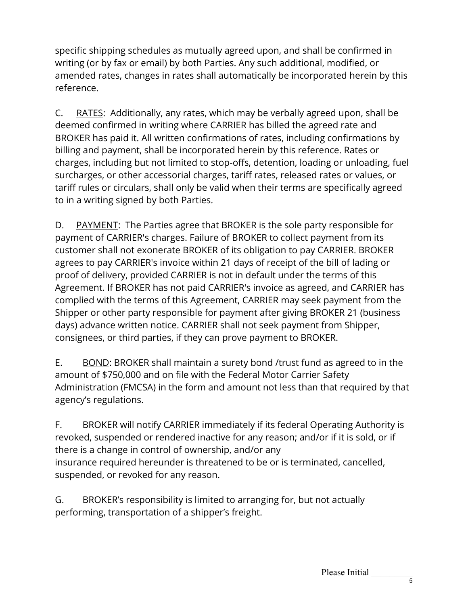specific shipping schedules as mutually agreed upon, and shall be confirmed in writing (or by fax or email) by both Parties. Any such additional, modified, or amended rates, changes in rates shall automatically be incorporated herein by this reference.

C. RATES: Additionally, any rates, which may be verbally agreed upon, shall be deemed confirmed in writing where CARRIER has billed the agreed rate and BROKER has paid it. All written confirmations of rates, including confirmations by billing and payment, shall be incorporated herein by this reference. Rates or charges, including but not limited to stop-offs, detention, loading or unloading, fuel surcharges, or other accessorial charges, tariff rates, released rates or values, or tariff rules or circulars, shall only be valid when their terms are specifically agreed to in a writing signed by both Parties.

D. PAYMENT: The Parties agree that BROKER is the sole party responsible for payment of CARRIER's charges. Failure of BROKER to collect payment from its customer shall not exonerate BROKER of its obligation to pay CARRIER. BROKER agrees to pay CARRIER's invoice within 21 days of receipt of the bill of lading or proof of delivery, provided CARRIER is not in default under the terms of this Agreement. If BROKER has not paid CARRIER's invoice as agreed, and CARRIER has complied with the terms of this Agreement, CARRIER may seek payment from the Shipper or other party responsible for payment after giving BROKER 21 (business days) advance written notice. CARRIER shall not seek payment from Shipper, consignees, or third parties, if they can prove payment to BROKER.

E. BOND: BROKER shall maintain a surety bond /trust fund as agreed to in the amount of \$750,000 and on file with the Federal Motor Carrier Safety Administration (FMCSA) in the form and amount not less than that required by that agency's regulations.

F. BROKER will notify CARRIER immediately if its federal Operating Authority is revoked, suspended or rendered inactive for any reason; and/or if it is sold, or if there is a change in control of ownership, and/or any insurance required hereunder is threatened to be or is terminated, cancelled, suspended, or revoked for any reason.

G. BROKER's responsibility is limited to arranging for, but not actually performing, transportation of a shipper's freight.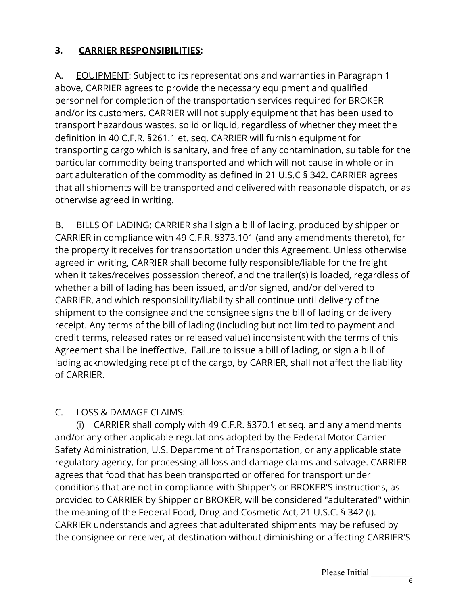## **3. CARRIER RESPONSIBILITIES:**

A. EQUIPMENT: Subject to its representations and warranties in Paragraph 1 above, CARRIER agrees to provide the necessary equipment and qualified personnel for completion of the transportation services required for BROKER and/or its customers. CARRIER will not supply equipment that has been used to transport hazardous wastes, solid or liquid, regardless of whether they meet the definition in 40 C.F.R. §261.1 et. seq. CARRIER will furnish equipment for transporting cargo which is sanitary, and free of any contamination, suitable for the particular commodity being transported and which will not cause in whole or in part adulteration of the commodity as defined in 21 U.S.C § 342. CARRIER agrees that all shipments will be transported and delivered with reasonable dispatch, or as otherwise agreed in writing.

B. BILLS OF LADING: CARRIER shall sign a bill of lading, produced by shipper or CARRIER in compliance with 49 C.F.R. §373.101 (and any amendments thereto), for the property it receives for transportation under this Agreement. Unless otherwise agreed in writing, CARRIER shall become fully responsible/liable for the freight when it takes/receives possession thereof, and the trailer(s) is loaded, regardless of whether a bill of lading has been issued, and/or signed, and/or delivered to CARRIER, and which responsibility/liability shall continue until delivery of the shipment to the consignee and the consignee signs the bill of lading or delivery receipt. Any terms of the bill of lading (including but not limited to payment and credit terms, released rates or released value) inconsistent with the terms of this Agreement shall be ineffective. Failure to issue a bill of lading, or sign a bill of lading acknowledging receipt of the cargo, by CARRIER, shall not affect the liability of CARRIER.

## C. LOSS & DAMAGE CLAIMS:

 (i) CARRIER shall comply with 49 C.F.R. §370.1 et seq. and any amendments and/or any other applicable regulations adopted by the Federal Motor Carrier Safety Administration, U.S. Department of Transportation, or any applicable state regulatory agency, for processing all loss and damage claims and salvage. CARRIER agrees that food that has been transported or offered for transport under conditions that are not in compliance with Shipper's or BROKER'S instructions, as provided to CARRIER by Shipper or BROKER, will be considered "adulterated" within the meaning of the Federal Food, Drug and Cosmetic Act, 21 U.S.C. § 342 (i). CARRIER understands and agrees that adulterated shipments may be refused by the consignee or receiver, at destination without diminishing or affecting CARRIER'S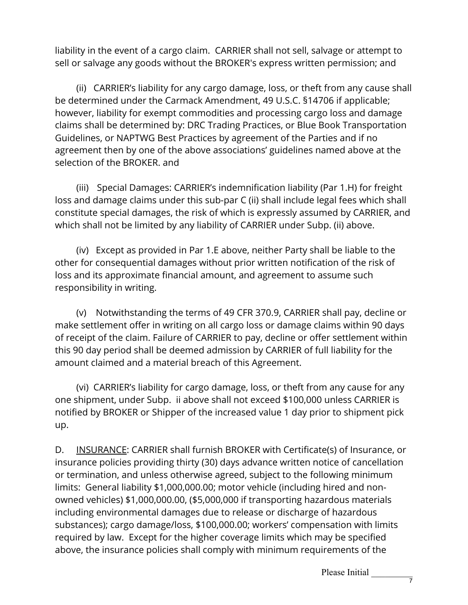liability in the event of a cargo claim. CARRIER shall not sell, salvage or attempt to sell or salvage any goods without the BROKER's express written permission; and

 (ii) CARRIER's liability for any cargo damage, loss, or theft from any cause shall be determined under the Carmack Amendment, 49 U.S.C. §14706 if applicable; however, liability for exempt commodities and processing cargo loss and damage claims shall be determined by: DRC Trading Practices, or Blue Book Transportation Guidelines, or NAPTWG Best Practices by agreement of the Parties and if no agreement then by one of the above associations' guidelines named above at the selection of the BROKER. and

 (iii) Special Damages: CARRIER's indemnification liability (Par 1.H) for freight loss and damage claims under this sub-par C (ii) shall include legal fees which shall constitute special damages, the risk of which is expressly assumed by CARRIER, and which shall not be limited by any liability of CARRIER under Subp. (ii) above.

 (iv) Except as provided in Par 1.E above, neither Party shall be liable to the other for consequential damages without prior written notification of the risk of loss and its approximate financial amount, and agreement to assume such responsibility in writing.

 (v) Notwithstanding the terms of 49 CFR 370.9, CARRIER shall pay, decline or make settlement offer in writing on all cargo loss or damage claims within 90 days of receipt of the claim. Failure of CARRIER to pay, decline or offer settlement within this 90 day period shall be deemed admission by CARRIER of full liability for the amount claimed and a material breach of this Agreement.

 (vi) CARRIER's liability for cargo damage, loss, or theft from any cause for any one shipment, under Subp. ii above shall not exceed \$100,000 unless CARRIER is notified by BROKER or Shipper of the increased value 1 day prior to shipment pick up.

D. INSURANCE: CARRIER shall furnish BROKER with Certificate(s) of Insurance, or insurance policies providing thirty (30) days advance written notice of cancellation or termination, and unless otherwise agreed, subject to the following minimum limits: General liability \$1,000,000.00; motor vehicle (including hired and nonowned vehicles) \$1,000,000.00, (\$5,000,000 if transporting hazardous materials including environmental damages due to release or discharge of hazardous substances); cargo damage/loss, \$100,000.00; workers' compensation with limits required by law. Except for the higher coverage limits which may be specified above, the insurance policies shall comply with minimum requirements of the

Please Initial \_\_\_\_\_\_\_\_\_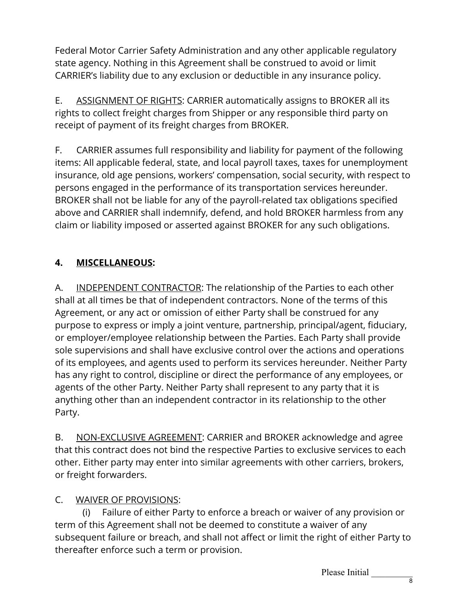Federal Motor Carrier Safety Administration and any other applicable regulatory state agency. Nothing in this Agreement shall be construed to avoid or limit CARRIER's liability due to any exclusion or deductible in any insurance policy.

E. ASSIGNMENT OF RIGHTS: CARRIER automatically assigns to BROKER all its rights to collect freight charges from Shipper or any responsible third party on receipt of payment of its freight charges from BROKER.

F. CARRIER assumes full responsibility and liability for payment of the following items: All applicable federal, state, and local payroll taxes, taxes for unemployment insurance, old age pensions, workers' compensation, social security, with respect to persons engaged in the performance of its transportation services hereunder. BROKER shall not be liable for any of the payroll-related tax obligations specified above and CARRIER shall indemnify, defend, and hold BROKER harmless from any claim or liability imposed or asserted against BROKER for any such obligations.

## **4. MISCELLANEOUS:**

A. INDEPENDENT CONTRACTOR: The relationship of the Parties to each other shall at all times be that of independent contractors. None of the terms of this Agreement, or any act or omission of either Party shall be construed for any purpose to express or imply a joint venture, partnership, principal/agent, fiduciary, or employer/employee relationship between the Parties. Each Party shall provide sole supervisions and shall have exclusive control over the actions and operations of its employees, and agents used to perform its services hereunder. Neither Party has any right to control, discipline or direct the performance of any employees, or agents of the other Party. Neither Party shall represent to any party that it is anything other than an independent contractor in its relationship to the other Party.

B. NON-EXCLUSIVE AGREEMENT: CARRIER and BROKER acknowledge and agree that this contract does not bind the respective Parties to exclusive services to each other. Either party may enter into similar agreements with other carriers, brokers, or freight forwarders.

## C. WAIVER OF PROVISIONS:

 (i) Failure of either Party to enforce a breach or waiver of any provision or term of this Agreement shall not be deemed to constitute a waiver of any subsequent failure or breach, and shall not affect or limit the right of either Party to thereafter enforce such a term or provision.

Please Initial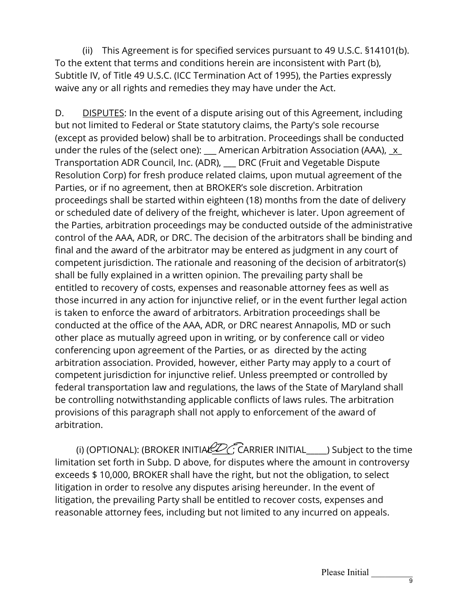(ii) This Agreement is for specified services pursuant to 49 U.S.C. §14101(b). To the extent that terms and conditions herein are inconsistent with Part (b), Subtitle IV, of Title 49 U.S.C. (ICC Termination Act of 1995), the Parties expressly waive any or all rights and remedies they may have under the Act.

D. DISPUTES: In the event of a dispute arising out of this Agreement, including but not limited to Federal or State statutory claims, the Party's sole recourse (except as provided below) shall be to arbitration. Proceedings shall be conducted under the rules of the (select one): \_\_\_ American Arbitration Association (AAA), \_x\_ Transportation ADR Council, Inc. (ADR), \_\_\_ DRC (Fruit and Vegetable Dispute Resolution Corp) for fresh produce related claims, upon mutual agreement of the Parties, or if no agreement, then at BROKER's sole discretion. Arbitration proceedings shall be started within eighteen (18) months from the date of delivery or scheduled date of delivery of the freight, whichever is later. Upon agreement of the Parties, arbitration proceedings may be conducted outside of the administrative control of the AAA, ADR, or DRC. The decision of the arbitrators shall be binding and final and the award of the arbitrator may be entered as judgment in any court of competent jurisdiction. The rationale and reasoning of the decision of arbitrator(s) shall be fully explained in a written opinion. The prevailing party shall be entitled to recovery of costs, expenses and reasonable attorney fees as well as those incurred in any action for injunctive relief, or in the event further legal action is taken to enforce the award of arbitrators. Arbitration proceedings shall be conducted at the office of the AAA, ADR, or DRC nearest Annapolis, MD or such other place as mutually agreed upon in writing, or by conference call or video conferencing upon agreement of the Parties, or as directed by the acting arbitration association. Provided, however, either Party may apply to a court of competent jurisdiction for injunctive relief. Unless preempted or controlled by federal transportation law and regulations, the laws of the State of Maryland shall be controlling notwithstanding applicable conflicts of laws rules. The arbitration provisions of this paragraph shall not apply to enforcement of the award of arbitration.

(i) (OPTIONAL): (BROKER INITIAL  $ZZ$  C CARRIER INITIAL  $\Box$ ) Subject to the time limitation set forth in Subp. D above, for disputes where the amount in controversy exceeds \$ 10,000, BROKER shall have the right, but not the obligation, to select litigation in order to resolve any disputes arising hereunder. In the event of litigation, the prevailing Party shall be entitled to recover costs, expenses and reasonable attorney fees, including but not limited to any incurred on appeals.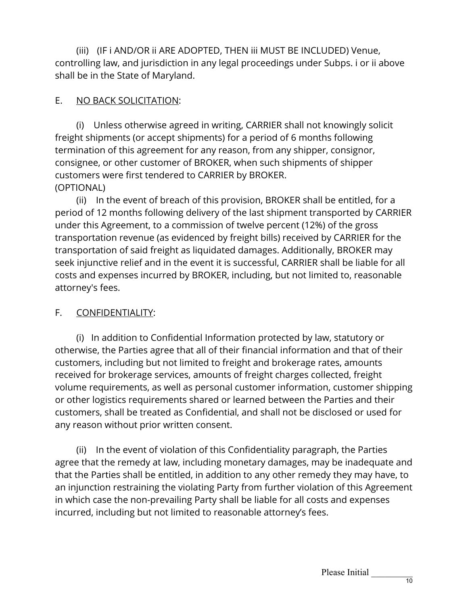(iii) (IF i AND/OR ii ARE ADOPTED, THEN iii MUST BE INCLUDED) Venue, controlling law, and jurisdiction in any legal proceedings under Subps. i or ii above shall be in the State of Maryland.

### E. NO BACK SOLICITATION:

 (i) Unless otherwise agreed in writing, CARRIER shall not knowingly solicit freight shipments (or accept shipments) for a period of 6 months following termination of this agreement for any reason, from any shipper, consignor, consignee, or other customer of BROKER, when such shipments of shipper customers were first tendered to CARRIER by BROKER. (OPTIONAL)

 (ii) In the event of breach of this provision, BROKER shall be entitled, for a period of 12 months following delivery of the last shipment transported by CARRIER under this Agreement, to a commission of twelve percent (12%) of the gross transportation revenue (as evidenced by freight bills) received by CARRIER for the transportation of said freight as liquidated damages. Additionally, BROKER may seek injunctive relief and in the event it is successful, CARRIER shall be liable for all costs and expenses incurred by BROKER, including, but not limited to, reasonable attorney's fees.

### F. CONFIDENTIALITY:

 (i) In addition to Confidential Information protected by law, statutory or otherwise, the Parties agree that all of their financial information and that of their customers, including but not limited to freight and brokerage rates, amounts received for brokerage services, amounts of freight charges collected, freight volume requirements, as well as personal customer information, customer shipping or other logistics requirements shared or learned between the Parties and their customers, shall be treated as Confidential, and shall not be disclosed or used for any reason without prior written consent.

 (ii) In the event of violation of this Confidentiality paragraph, the Parties agree that the remedy at law, including monetary damages, may be inadequate and that the Parties shall be entitled, in addition to any other remedy they may have, to an injunction restraining the violating Party from further violation of this Agreement in which case the non-prevailing Party shall be liable for all costs and expenses incurred, including but not limited to reasonable attorney's fees.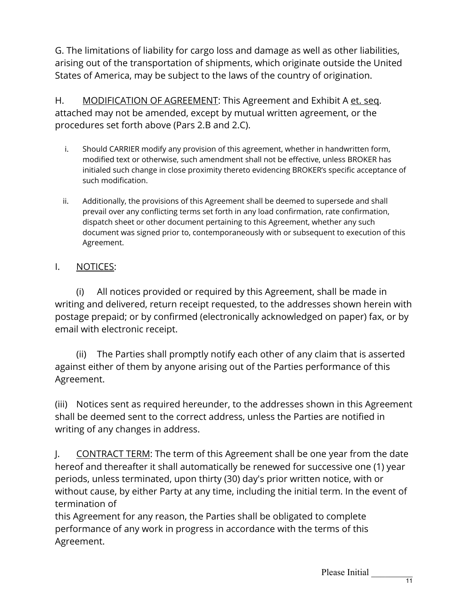G. The limitations of liability for cargo loss and damage as well as other liabilities, arising out of the transportation of shipments, which originate outside the United States of America, may be subject to the laws of the country of origination.

H. MODIFICATION OF AGREEMENT: This Agreement and Exhibit A et. seq. attached may not be amended, except by mutual written agreement, or the procedures set forth above (Pars 2.B and 2.C).

- i. Should CARRIER modify any provision of this agreement, whether in handwritten form, modified text or otherwise, such amendment shall not be effective, unless BROKER has initialed such change in close proximity thereto evidencing BROKER's specific acceptance of such modification.
- ii. Additionally, the provisions of this Agreement shall be deemed to supersede and shall prevail over any conflicting terms set forth in any load confirmation, rate confirmation, dispatch sheet or other document pertaining to this Agreement, whether any such document was signed prior to, contemporaneously with or subsequent to execution of this Agreement.

## I. NOTICES:

 (i) All notices provided or required by this Agreement, shall be made in writing and delivered, return receipt requested, to the addresses shown herein with postage prepaid; or by confirmed (electronically acknowledged on paper) fax, or by email with electronic receipt.

 (ii) The Parties shall promptly notify each other of any claim that is asserted against either of them by anyone arising out of the Parties performance of this Agreement.

(iii) Notices sent as required hereunder, to the addresses shown in this Agreement shall be deemed sent to the correct address, unless the Parties are notified in writing of any changes in address.

J. CONTRACT TERM: The term of this Agreement shall be one year from the date hereof and thereafter it shall automatically be renewed for successive one (1) year periods, unless terminated, upon thirty (30) day's prior written notice, with or without cause, by either Party at any time, including the initial term. In the event of termination of

this Agreement for any reason, the Parties shall be obligated to complete performance of any work in progress in accordance with the terms of this Agreement.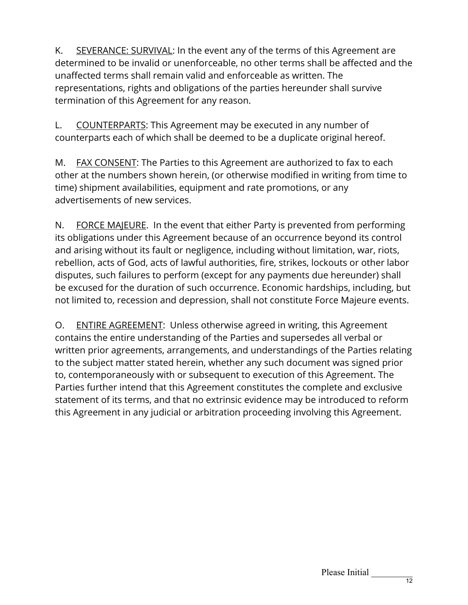K. SEVERANCE: SURVIVAL: In the event any of the terms of this Agreement are determined to be invalid or unenforceable, no other terms shall be affected and the unaffected terms shall remain valid and enforceable as written. The representations, rights and obligations of the parties hereunder shall survive termination of this Agreement for any reason.

L. COUNTERPARTS: This Agreement may be executed in any number of counterparts each of which shall be deemed to be a duplicate original hereof.

M. FAX CONSENT: The Parties to this Agreement are authorized to fax to each other at the numbers shown herein, (or otherwise modified in writing from time to time) shipment availabilities, equipment and rate promotions, or any advertisements of new services.

N. FORCE MAJEURE. In the event that either Party is prevented from performing its obligations under this Agreement because of an occurrence beyond its control and arising without its fault or negligence, including without limitation, war, riots, rebellion, acts of God, acts of lawful authorities, fire, strikes, lockouts or other labor disputes, such failures to perform (except for any payments due hereunder) shall be excused for the duration of such occurrence. Economic hardships, including, but not limited to, recession and depression, shall not constitute Force Majeure events.

O. ENTIRE AGREEMENT: Unless otherwise agreed in writing, this Agreement contains the entire understanding of the Parties and supersedes all verbal or written prior agreements, arrangements, and understandings of the Parties relating to the subject matter stated herein, whether any such document was signed prior to, contemporaneously with or subsequent to execution of this Agreement. The Parties further intend that this Agreement constitutes the complete and exclusive statement of its terms, and that no extrinsic evidence may be introduced to reform this Agreement in any judicial or arbitration proceeding involving this Agreement.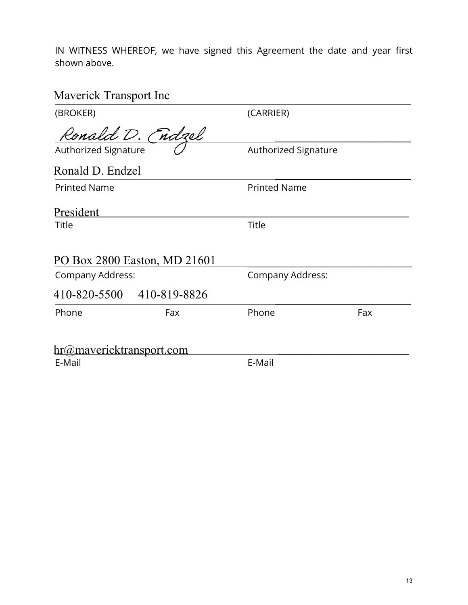IN WITNESS WHEREOF, we have signed this Agreement the date and year first shown above.

# Maverick Transport Inc 2007

| (BROKER)                 |                              | (CARRIER)            |     |  |
|--------------------------|------------------------------|----------------------|-----|--|
|                          | Ronald D. (ndzel             |                      |     |  |
| Authorized Signature     |                              | Authorized Signature |     |  |
| Ronald D. Endzel         |                              |                      |     |  |
| <b>Printed Name</b>      |                              | <b>Printed Name</b>  |     |  |
| President                |                              |                      |     |  |
| Title                    |                              | <b>Title</b>         |     |  |
|                          | PO Box 2800 Easton, MD 21601 |                      |     |  |
| Company Address:         |                              | Company Address:     |     |  |
|                          | 410-820-5500 410-819-8826    |                      |     |  |
| Phone                    | Fax                          | Phone                | Fax |  |
| hr@mavericktransport.com |                              |                      |     |  |
| E-Mail                   |                              | E-Mail               |     |  |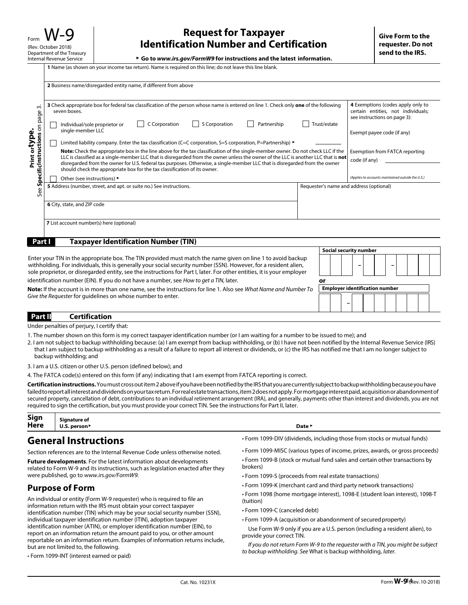▶ **Go to www.irs.gov/FormW9 for instructions and the latest information.** 

|                                           | 2 Business name/disregarded entity name, if different from above                                                                                                                                                                                                                                                                                                                                             |                                                                                                         |
|-------------------------------------------|--------------------------------------------------------------------------------------------------------------------------------------------------------------------------------------------------------------------------------------------------------------------------------------------------------------------------------------------------------------------------------------------------------------|---------------------------------------------------------------------------------------------------------|
|                                           |                                                                                                                                                                                                                                                                                                                                                                                                              |                                                                                                         |
| $\sim$<br>page                            | 3 Check appropriate box for federal tax classification of the person whose name is entered on line 1. Check only one of the following<br>seven boxes.                                                                                                                                                                                                                                                        | 4 Exemptions (codes apply only to<br>certain entities, not individuals;<br>see instructions on page 3): |
| $\delta$<br>type.<br>ons                  | S Corporation<br>Trust/estate<br>C Corporation<br>Partnership<br>Individual/sole proprietor or<br>single-member LLC                                                                                                                                                                                                                                                                                          | Exempt payee code (if any)                                                                              |
|                                           | Limited liability company. Enter the tax classification (C=C corporation, S=S corporation, P=Partnership) $\blacktriangleright$                                                                                                                                                                                                                                                                              |                                                                                                         |
| pecificlnstructi<br>Print or <sup>1</sup> | Note: Check the appropriate box in the line above for the tax classification of the single-member owner. Do not check LLC if the<br>LLC is classified as a single-member LLC that is disregarded from the owner unless the owner of the LLC is another LLC that is <b>not</b><br>disregarded from the owner for U.S. federal tax purposes. Otherwise, a single-member LLC that is disregarded from the owner | Exemption from FATCA reporting<br>code (if any)                                                         |
|                                           | should check the appropriate box for the tax classification of its owner.                                                                                                                                                                                                                                                                                                                                    |                                                                                                         |
|                                           | Other (see instructions) ▶                                                                                                                                                                                                                                                                                                                                                                                   | (Applies to accounts maintained outside the U.S.)                                                       |
| Ū<br>ee<br>Ü                              | 5 Address (number, street, and apt. or suite no.) See instructions.<br>Requester's name and address (optional)                                                                                                                                                                                                                                                                                               |                                                                                                         |
|                                           | 6 City, state, and ZIP code                                                                                                                                                                                                                                                                                                                                                                                  |                                                                                                         |
|                                           | <b>7</b> List account number(s) here (optional)                                                                                                                                                                                                                                                                                                                                                              |                                                                                                         |
| Part I                                    | <b>Taxpayer Identification Number (TIN)</b>                                                                                                                                                                                                                                                                                                                                                                  |                                                                                                         |

|                                                                                                                                                                                                                                                                                                                                                             |    |                                       |  |  | <b>Social security number</b> |  |  |  |  |
|-------------------------------------------------------------------------------------------------------------------------------------------------------------------------------------------------------------------------------------------------------------------------------------------------------------------------------------------------------------|----|---------------------------------------|--|--|-------------------------------|--|--|--|--|
| Enter your TIN in the appropriate box. The TIN provided must match the name given on line 1 to avoid backup<br>withholding. For individuals, this is generally your social security number (SSN). However, for a resident alien,<br>sole proprietor, or disregarded entity, see the instructions for Part I, later. For other entities, it is your employer |    |                                       |  |  |                               |  |  |  |  |
| identification number (EIN). If you do not have a number, see How to get a TIN, later.                                                                                                                                                                                                                                                                      | or |                                       |  |  |                               |  |  |  |  |
| Note: If the account is in more than one name, see the instructions for line 1. Also see What Name and Number To                                                                                                                                                                                                                                            |    | <b>Employer identification number</b> |  |  |                               |  |  |  |  |
| Give the Requester for quidelines on whose number to enter.                                                                                                                                                                                                                                                                                                 |    |                                       |  |  |                               |  |  |  |  |
| Part II<br>Certification                                                                                                                                                                                                                                                                                                                                    |    |                                       |  |  |                               |  |  |  |  |

Under penalties of perjury, I certify that:

- 1. The number shown on this form is my correct taxpayer identification number (or I am waiting for a number to be issued to me); and
- 2. I am not subject to backup withholding because: (a) I am exempt from backup withholding, or (b) I have not been notified by the Internal Revenue Service (IRS) that I am subject to backup withholding as a result of a failure to report all interest or dividends, or (c) the IRS has notified me that I am no longer subject to backup withholding; and
- 3. I am a U.S. citizen or other U.S. person (defined below); and
- 4. The FATCA code(s) entered on this form (if any) indicating that I am exempt from FATCA reporting is correct.

**Certification instructions.** You must cross out item 2 above if you have been notified by the IRS that you are currently subject to backup withholding because you have failed to report all interest and dividends on your tax return. For real estate transactions, item 2 does not apply. For mortgage interest paid, acquisition or abandonment of secured property, cancellation of debt, contributions to an individual retirement arrangement (IRA), and generally, payments other than interest and dividends, you are not required to sign the certification, but you must provide your correct TIN. See the instructions for Part II, later.

| Sign        | Sianature of                |                   |
|-------------|-----------------------------|-------------------|
| <b>Here</b> | U.S. person <sup>&gt;</sup> | Date *<br>- - - - |

#### **General Instructions**

Section references are to the Internal Revenue Code unless otherwise noted.

**Future developments**. For the latest information about developments related to Form W-9 and its instructions, such as legislation enacted after they were published, go to www.irs.gov/FormW9.

#### **Purpose of Form**

An individual or entity (Form W-9 requester) who is required to file an information return with the IRS must obtain your correct taxpayer identification number (TIN) which may be your social security number (SSN), individual taxpayer identification number (ITIN), adoption taxpayer identification number (ATIN), or employer identification number (EIN), to report on an information return the amount paid to you, or other amount reportable on an information return. Examples of information returns include, but are not limited to, the following.

• Form 1099-INT (interest earned or paid)

- Form 1099-DIV (dividends, including those from stocks or mutual funds)
- Form 1099-MISC (various types of income, prizes, awards, or gross proceeds) • Form 1099-B (stock or mutual fund sales and certain other transactions by brokers)
- Form 1099-S (proceeds from real estate transactions)
- Form 1099-K (merchant card and third party network transactions)
- Form 1098 (home mortgage interest), 1098-E (student loan interest), 1098-T (tuition)
- Form 1099-C (canceled debt)
- Form 1099-A (acquisition or abandonment of secured property)

Use Form W-9 only if you are a U.S. person (including a resident alien), to provide your correct TIN.

If you do not return Form W-9 to the requester with a TIN, you might be subject to backup withholding. See What is backup withholding, later.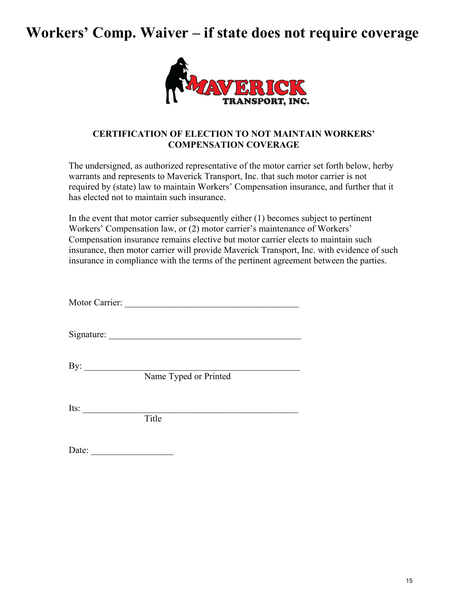# **Workers' Comp. Waiver – if state does not require coverage**



#### **CERTIFICATION OF ELECTION TO NOT MAINTAIN WORKERS' COMPENSATION COVERAGE**

The undersigned, as authorized representative of the motor carrier set forth below, herby warrants and represents to Maverick Transport, Inc. that such motor carrier is not required by (state) law to maintain Workers' Compensation insurance, and further that it has elected not to maintain such insurance.

In the event that motor carrier subsequently either (1) becomes subject to pertinent Workers' Compensation law, or (2) motor carrier's maintenance of Workers' Compensation insurance remains elective but motor carrier elects to maintain such insurance, then motor carrier will provide Maverick Transport, Inc. with evidence of such insurance in compliance with the terms of the pertinent agreement between the parties.

Motor Carrier:

Signature: \_\_\_\_\_\_\_\_\_\_\_\_\_\_\_\_\_\_\_\_\_\_\_\_\_\_\_\_\_\_\_\_\_\_\_\_\_\_\_\_\_\_

 $\mathbf{By:}$ 

Name Typed or Printed

Its:  $\frac{1}{\sqrt{1-\frac{1}{2}}\sqrt{1-\frac{1}{2}}\sqrt{1-\frac{1}{2}}\sqrt{1-\frac{1}{2}}\sqrt{1-\frac{1}{2}}\sqrt{1-\frac{1}{2}}\sqrt{1-\frac{1}{2}}\sqrt{1-\frac{1}{2}}\sqrt{1-\frac{1}{2}}\sqrt{1-\frac{1}{2}}\sqrt{1-\frac{1}{2}}\sqrt{1-\frac{1}{2}}\sqrt{1-\frac{1}{2}}\sqrt{1-\frac{1}{2}}\sqrt{1-\frac{1}{2}}\sqrt{1-\frac{1}{2}}\sqrt{1-\frac{1}{2}}\sqrt{1-\frac{1}{2}}\sqrt{1-\frac{1}{2}}\$ 

Title

| Date: |
|-------|
|-------|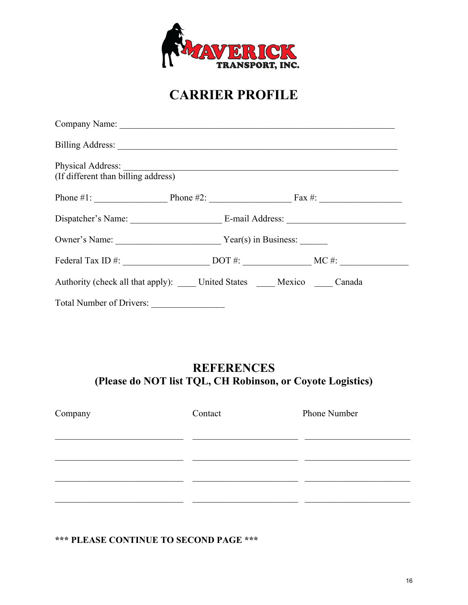

# **CARRIER PROFILE**

| (If different than billing address) |                                                                                                                                           |  |
|-------------------------------------|-------------------------------------------------------------------------------------------------------------------------------------------|--|
|                                     | Phone #1: $\_\_\_\_\_\_\_\_\_\_\_\_\_\_\_\_\_\_\_\_\_\_\_\_\_\_\_\_\_\_$ Phone #2: $\_\_\_\_\_\_\_\_\_\_\_\_\_\_\_\_\_\_\_\_\_\_\_\_\_\_$ |  |
|                                     |                                                                                                                                           |  |
| Owner's Name: Vear(s) in Business:  |                                                                                                                                           |  |
|                                     |                                                                                                                                           |  |
|                                     | Authority (check all that apply): _____ United States _____ Mexico _____ Canada                                                           |  |
| Total Number of Drivers:            |                                                                                                                                           |  |

## **REFERENCES (Please do NOT list TQL, CH Robinson, or Coyote Logistics)**

| Company | Contact | Phone Number |
|---------|---------|--------------|
|         |         |              |
|         |         |              |
|         |         |              |
|         |         |              |
|         |         |              |

## **\*\*\* PLEASE CONTINUE TO SECOND PAGE \*\*\***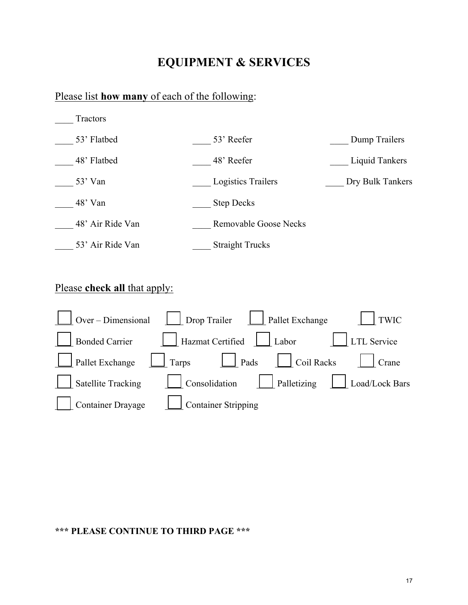## **EQUIPMENT & SERVICES**

#### Please list **how many** of each of the following:



## Please **check all** that apply:



#### **\*\*\* PLEASE CONTINUE TO THIRD PAGE \*\*\***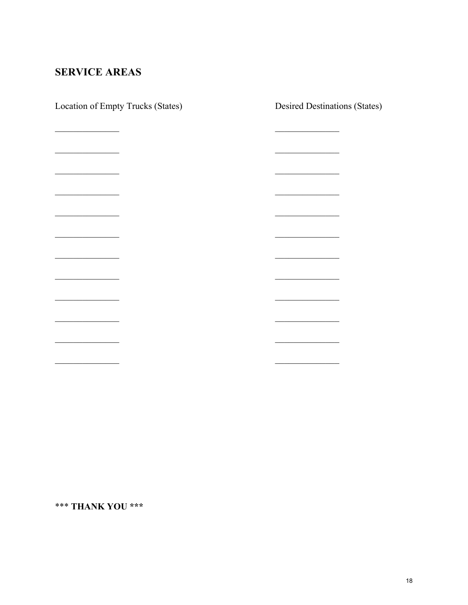## **SERVICE AREAS**

| Location of Empty Trucks (States)                                                                                       | <b>Desired Destinations (States)</b>              |
|-------------------------------------------------------------------------------------------------------------------------|---------------------------------------------------|
|                                                                                                                         |                                                   |
|                                                                                                                         |                                                   |
|                                                                                                                         |                                                   |
|                                                                                                                         |                                                   |
|                                                                                                                         |                                                   |
|                                                                                                                         |                                                   |
| <u> 1980 - Andrea Station Books, actor</u>                                                                              | <u> 1980 - Andrea Station Books, actor</u>        |
|                                                                                                                         |                                                   |
| <u> 1989 - Johann Stoff, deutscher Stoffen und der Stoffen und der Stoffen und der Stoffen und der Stoffen und der </u> |                                                   |
|                                                                                                                         |                                                   |
|                                                                                                                         |                                                   |
|                                                                                                                         |                                                   |
| <u> The Communication of the Communication</u>                                                                          | <u> 1980 - Johann Barnett, fransk politiker (</u> |
|                                                                                                                         |                                                   |
|                                                                                                                         |                                                   |
|                                                                                                                         |                                                   |
|                                                                                                                         |                                                   |

\*\*\* THANK YOU \*\*\*